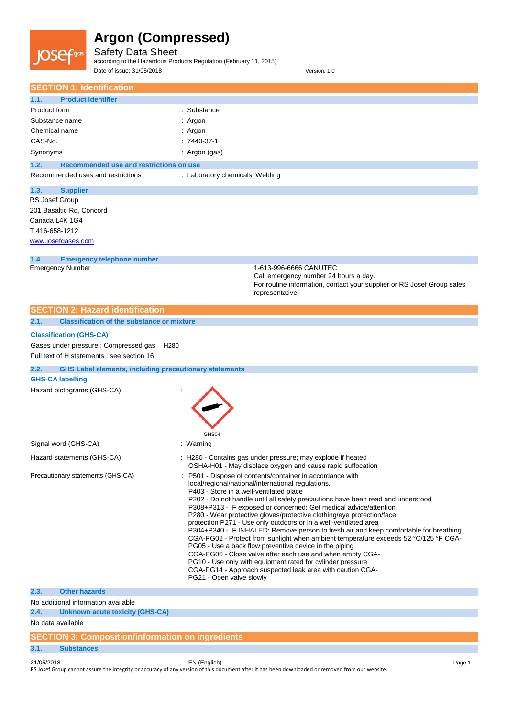# **JOSef<sub>gas</sub>**

## **Argon (Compressed)**

Safety Data Sheet

according to the Hazardous Products Regulation (February 11, 2015)

| Date of issue: 31/05/2018                                             | Version: 1.0                                                                                                                                                                 |
|-----------------------------------------------------------------------|------------------------------------------------------------------------------------------------------------------------------------------------------------------------------|
| <b>SECTION 1: Identification</b>                                      |                                                                                                                                                                              |
| <b>Product identifier</b><br>1.1.                                     |                                                                                                                                                                              |
| Product form                                                          | : Substance                                                                                                                                                                  |
| Substance name                                                        | : Argon                                                                                                                                                                      |
| Chemical name                                                         | : Argon                                                                                                                                                                      |
| CAS-No.                                                               | $: 7440-37-1$                                                                                                                                                                |
| Synonyms                                                              | : Argon (gas)                                                                                                                                                                |
|                                                                       |                                                                                                                                                                              |
| 1.2.<br>Recommended use and restrictions on use                       |                                                                                                                                                                              |
| Recommended uses and restrictions                                     | : Laboratory chemicals, Welding                                                                                                                                              |
| 1.3.<br><b>Supplier</b>                                               |                                                                                                                                                                              |
| RS Josef Group                                                        |                                                                                                                                                                              |
| 201 Basaltic Rd, Concord                                              |                                                                                                                                                                              |
| Canada L4K 1G4                                                        |                                                                                                                                                                              |
| T416-658-1212                                                         |                                                                                                                                                                              |
| www.josefgases.com                                                    |                                                                                                                                                                              |
| 1.4.<br><b>Emergency telephone number</b>                             |                                                                                                                                                                              |
| <b>Emergency Number</b>                                               | 1-613-996-6666 CANUTEC                                                                                                                                                       |
|                                                                       | Call emergency number 24 hours a day.<br>For routine information, contact your supplier or RS Josef Group sales                                                              |
|                                                                       | representative                                                                                                                                                               |
|                                                                       |                                                                                                                                                                              |
| <b>SECTION 2: Hazard identification</b>                               |                                                                                                                                                                              |
| <b>Classification of the substance or mixture</b><br>2.1.             |                                                                                                                                                                              |
| <b>Classification (GHS-CA)</b>                                        |                                                                                                                                                                              |
| Gases under pressure : Compressed gas<br>H <sub>280</sub>             |                                                                                                                                                                              |
| Full text of H statements : see section 16                            |                                                                                                                                                                              |
| <b>GHS Label elements, including precautionary statements</b><br>2.2. |                                                                                                                                                                              |
| <b>GHS-CA labelling</b>                                               |                                                                                                                                                                              |
| Hazard pictograms (GHS-CA)                                            |                                                                                                                                                                              |
|                                                                       |                                                                                                                                                                              |
|                                                                       |                                                                                                                                                                              |
|                                                                       |                                                                                                                                                                              |
|                                                                       | GHS04                                                                                                                                                                        |
| Signal word (GHS-CA)                                                  | : Warning                                                                                                                                                                    |
| Hazard statements (GHS-CA)                                            | : H280 - Contains gas under pressure; may explode if heated                                                                                                                  |
|                                                                       | OSHA-H01 - May displace oxygen and cause rapid suffocation                                                                                                                   |
| Precautionary statements (GHS-CA)                                     | P501 - Dispose of contents/container in accordance with                                                                                                                      |
|                                                                       | local/regional/national/international regulations.                                                                                                                           |
|                                                                       | P403 - Store in a well-ventilated place<br>P202 - Do not handle until all safety precautions have been read and understood                                                   |
|                                                                       | P308+P313 - IF exposed or concerned: Get medical advice/attention                                                                                                            |
|                                                                       | P280 - Wear protective gloves/protective clothing/eye protection/face                                                                                                        |
|                                                                       | protection P271 - Use only outdoors or in a well-ventilated area                                                                                                             |
|                                                                       | P304+P340 - IF INHALED: Remove person to fresh air and keep comfortable for breathing<br>CGA-PG02 - Protect from sunlight when ambient temperature exceeds 52 °C/125 °F CGA- |
|                                                                       | PG05 - Use a back flow preventive device in the piping                                                                                                                       |
|                                                                       | CGA-PG06 - Close valve after each use and when empty CGA-                                                                                                                    |
|                                                                       | PG10 - Use only with equipment rated for cylinder pressure<br>CGA-PG14 - Approach suspected leak area with caution CGA-                                                      |
|                                                                       | PG21 - Open valve slowly                                                                                                                                                     |
| 2.3.<br><b>Other hazards</b>                                          |                                                                                                                                                                              |
| No additional information available                                   |                                                                                                                                                                              |
| 2.4.<br><b>Unknown acute toxicity (GHS-CA)</b>                        |                                                                                                                                                                              |
| No data available                                                     |                                                                                                                                                                              |
| <b>SECTION 3: Composition/information on ingredients</b>              |                                                                                                                                                                              |
|                                                                       |                                                                                                                                                                              |

31/05/2018 EN (English) Page 1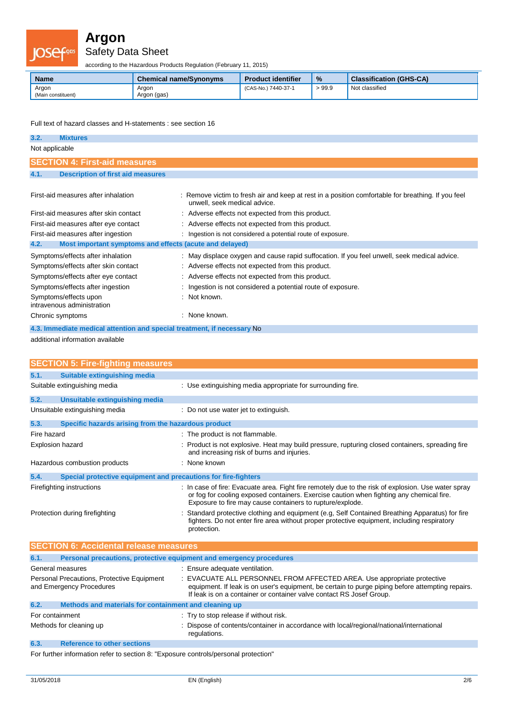

Safety Data Sheet

according to the Hazardous Products Regulation (February 11, 2015)

| <b>Name</b>                 | <b>Chemical name/Synonyms</b> | <b>Product identifier</b> | $\frac{9}{6}$ | <b>Classification (GHS-CA)</b> |
|-----------------------------|-------------------------------|---------------------------|---------------|--------------------------------|
| Argon<br>(Main constituent) | Argon<br>Argon (gas)          | (CAS-No.) 7440-37-1       | >99.9         | Not classified                 |

Full text of hazard classes and H-statements : see section 16

| 3.2.                                                                    | <b>Mixtures</b>                                         |   |                                                                                                                                    |
|-------------------------------------------------------------------------|---------------------------------------------------------|---|------------------------------------------------------------------------------------------------------------------------------------|
| Not applicable                                                          |                                                         |   |                                                                                                                                    |
|                                                                         | <b>SECTION 4: First-aid measures</b>                    |   |                                                                                                                                    |
| 4.1.                                                                    | <b>Description of first aid measures</b>                |   |                                                                                                                                    |
|                                                                         |                                                         |   |                                                                                                                                    |
|                                                                         | First-aid measures after inhalation                     |   | : Remove victim to fresh air and keep at rest in a position comfortable for breathing. If you feel<br>unwell, seek medical advice. |
|                                                                         | First-aid measures after skin contact                   |   | : Adverse effects not expected from this product.                                                                                  |
|                                                                         | First-aid measures after eye contact                    |   | : Adverse effects not expected from this product.                                                                                  |
|                                                                         | First-aid measures after ingestion                      |   | : Ingestion is not considered a potential route of exposure.                                                                       |
| 4.2.                                                                    | Most important symptoms and effects (acute and delayed) |   |                                                                                                                                    |
|                                                                         | Symptoms/effects after inhalation                       |   | : May displace oxygen and cause rapid suffocation. If you feel unwell, seek medical advice.                                        |
|                                                                         | Symptoms/effects after skin contact                     |   | : Adverse effects not expected from this product.                                                                                  |
|                                                                         | Symptoms/effects after eye contact                      |   | : Adverse effects not expected from this product.                                                                                  |
|                                                                         | Symptoms/effects after ingestion                        |   | Ingestion is not considered a potential route of exposure.                                                                         |
|                                                                         | Symptoms/effects upon<br>intravenous administration     |   | Not known.                                                                                                                         |
| Chronic symptoms                                                        |                                                         | ٠ | None known.                                                                                                                        |
| 4.3. Immediate medical attention and special treatment, if necessary No |                                                         |   |                                                                                                                                    |

additional information available

| <b>SECTION 5: Fire-fighting measures</b>                                    |                                                                                                                                                                                                                                                              |  |
|-----------------------------------------------------------------------------|--------------------------------------------------------------------------------------------------------------------------------------------------------------------------------------------------------------------------------------------------------------|--|
| 5.1.<br>Suitable extinguishing media                                        |                                                                                                                                                                                                                                                              |  |
| Suitable extinguishing media                                                | : Use extinguishing media appropriate for surrounding fire.                                                                                                                                                                                                  |  |
| 5.2.<br><b>Unsuitable extinguishing media</b>                               |                                                                                                                                                                                                                                                              |  |
| Unsuitable extinguishing media                                              | : Do not use water jet to extinguish.                                                                                                                                                                                                                        |  |
| 5.3.<br>Specific hazards arising from the hazardous product                 |                                                                                                                                                                                                                                                              |  |
| Fire hazard                                                                 | : The product is not flammable.                                                                                                                                                                                                                              |  |
| Explosion hazard                                                            | : Product is not explosive. Heat may build pressure, rupturing closed containers, spreading fire<br>and increasing risk of burns and injuries.                                                                                                               |  |
| Hazardous combustion products                                               | $\therefore$ None known                                                                                                                                                                                                                                      |  |
| Special protective equipment and precautions for fire-fighters<br>5.4.      |                                                                                                                                                                                                                                                              |  |
| Firefighting instructions                                                   | : In case of fire: Evacuate area. Fight fire remotely due to the risk of explosion. Use water spray<br>or fog for cooling exposed containers. Exercise caution when fighting any chemical fire.<br>Exposure to fire may cause containers to rupture/explode. |  |
| Protection during firefighting                                              | Standard protective clothing and equipment (e.g. Self Contained Breathing Apparatus) for fire<br>fighters. Do not enter fire area without proper protective equipment, including respiratory<br>protection.                                                  |  |
| <b>SECTION 6: Accidental release measures</b>                               |                                                                                                                                                                                                                                                              |  |
| Personal precautions, protective equipment and emergency procedures<br>6.1. |                                                                                                                                                                                                                                                              |  |

| General measures         |                                                       | : Ensure adequate ventilation.                                                                                                                                                                                                                      |
|--------------------------|-------------------------------------------------------|-----------------------------------------------------------------------------------------------------------------------------------------------------------------------------------------------------------------------------------------------------|
| and Emergency Procedures | Personal Precautions, Protective Equipment            | : EVACUATE ALL PERSONNEL FROM AFFECTED AREA. Use appropriate protective<br>equipment. If leak is on user's equipment, be certain to purge piping before attempting repairs.<br>If leak is on a container or container valve contact RS Josef Group. |
| 6.2.                     | Methods and materials for containment and cleaning up |                                                                                                                                                                                                                                                     |
| For containment          |                                                       | : Try to stop release if without risk.                                                                                                                                                                                                              |
| Methods for cleaning up  |                                                       | : Dispose of contents/container in accordance with local/regional/national/international<br>regulations.                                                                                                                                            |
| 6.3.                     | <b>Reference to other sections</b>                    |                                                                                                                                                                                                                                                     |

For further information refer to section 8: "Exposure controls/personal protection"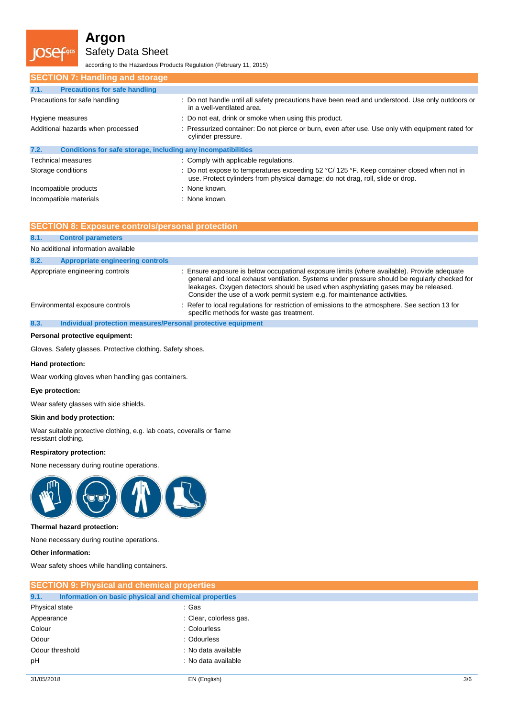Safety Data Sheet

according to the Hazardous Products Regulation (February 11, 2015)

| <b>SECTION 7: Handling and storage</b>                               |                                                                                                                                                                              |
|----------------------------------------------------------------------|------------------------------------------------------------------------------------------------------------------------------------------------------------------------------|
| <b>Precautions for safe handling</b><br>7.1.                         |                                                                                                                                                                              |
| Precautions for safe handling                                        | : Do not handle until all safety precautions have been read and understood. Use only outdoors or<br>in a well-ventilated area.                                               |
| Hygiene measures                                                     | : Do not eat, drink or smoke when using this product.                                                                                                                        |
| Additional hazards when processed                                    | : Pressurized container: Do not pierce or burn, even after use. Use only with equipment rated for<br>cylinder pressure.                                                      |
| 7.2.<br>Conditions for safe storage, including any incompatibilities |                                                                                                                                                                              |
| <b>Technical measures</b>                                            | : Comply with applicable regulations.                                                                                                                                        |
| Storage conditions                                                   | : Do not expose to temperatures exceeding 52 °C/ 125 °F. Keep container closed when not in<br>use. Protect cylinders from physical damage; do not drag, roll, slide or drop. |
| Incompatible products                                                | : None known.                                                                                                                                                                |
| Incompatible materials                                               | : None known.                                                                                                                                                                |

|      | <b>SECTION 8: Exposure controls/personal protection</b>      |                                                                                                                                                                                                                                                                                                                                                                 |
|------|--------------------------------------------------------------|-----------------------------------------------------------------------------------------------------------------------------------------------------------------------------------------------------------------------------------------------------------------------------------------------------------------------------------------------------------------|
| 8.1. | <b>Control parameters</b>                                    |                                                                                                                                                                                                                                                                                                                                                                 |
|      | No additional information available                          |                                                                                                                                                                                                                                                                                                                                                                 |
| 8.2. | <b>Appropriate engineering controls</b>                      |                                                                                                                                                                                                                                                                                                                                                                 |
|      | Appropriate engineering controls                             | : Ensure exposure is below occupational exposure limits (where available). Provide adequate<br>general and local exhaust ventilation. Systems under pressure should be regularly checked for<br>leakages. Oxygen detectors should be used when asphyxiating gases may be released.<br>Consider the use of a work permit system e.g. for maintenance activities. |
|      | Environmental exposure controls                              | : Refer to local regulations for restriction of emissions to the atmosphere. See section 13 for<br>specific methods for waste gas treatment.                                                                                                                                                                                                                    |
| 8.3. | Individual protection measures/Personal protective equipment |                                                                                                                                                                                                                                                                                                                                                                 |

#### **Personal protective equipment:**

Gloves. Safety glasses. Protective clothing. Safety shoes.

#### **Hand protection:**

Wear working gloves when handling gas containers.

#### **Eye protection:**

Wear safety glasses with side shields.

#### **Skin and body protection:**

Wear suitable protective clothing, e.g. lab coats, coveralls or flame resistant clothing.

#### **Respiratory protection:**

None necessary during routine operations.



#### **Thermal hazard protection:**

None necessary during routine operations.

#### **Other information:**

Wear safety shoes while handling containers.

| <b>SECTION 9: Physical and chemical properties</b>            |                         |  |  |
|---------------------------------------------------------------|-------------------------|--|--|
| 9.1.<br>Information on basic physical and chemical properties |                         |  |  |
| Physical state                                                | : Gas                   |  |  |
| Appearance                                                    | : Clear, colorless gas. |  |  |
| Colour                                                        | : Colourless            |  |  |
| Odour                                                         | : Odourless             |  |  |
| Odour threshold                                               | : No data available     |  |  |
| pH                                                            | : No data available     |  |  |
|                                                               |                         |  |  |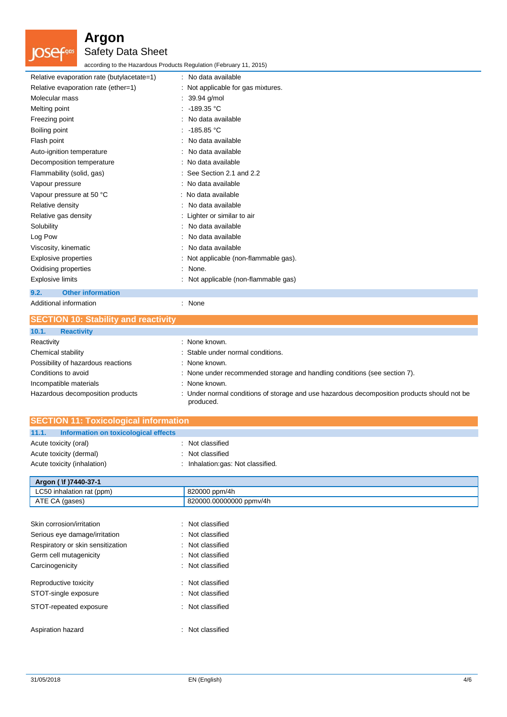

### Safety Data Sheet

according to the Hazardous Products Regulation (February 11, 2015)

| Relative evaporation rate (butylacetate=1) | : No data available                   |
|--------------------------------------------|---------------------------------------|
| Relative evaporation rate (ether=1)        | : Not applicable for gas mixtures.    |
| Molecular mass                             | $: 39.94$ g/mol                       |
| Melting point                              | $: -189.35 °C$                        |
| Freezing point                             | : No data available                   |
| Boiling point                              | : $-185.85$ °C                        |
| Flash point                                | : No data available                   |
| Auto-ignition temperature                  | : No data available                   |
| Decomposition temperature                  | : No data available                   |
| Flammability (solid, gas)                  | : See Section 2.1 and 2.2             |
| Vapour pressure                            | : No data available                   |
| Vapour pressure at 50 °C                   | : No data available                   |
| Relative density                           | : No data available                   |
| Relative gas density                       | : Lighter or similar to air           |
| Solubility                                 | : No data available                   |
| Log Pow                                    | : No data available                   |
| Viscosity, kinematic                       | : No data available                   |
| Explosive properties                       | : Not applicable (non-flammable gas). |
| Oxidising properties                       | : None.                               |
| <b>Explosive limits</b>                    | : Not applicable (non-flammable gas)  |
| <b>Other information</b><br>9.2.           |                                       |
| Additional information                     | : None                                |

| <b>SECTION 10: Stability and reactivity</b> |                                                                                                          |
|---------------------------------------------|----------------------------------------------------------------------------------------------------------|
| 10.1.<br><b>Reactivity</b>                  |                                                                                                          |
| Reactivity                                  | : None known.                                                                                            |
| Chemical stability                          | : Stable under normal conditions.                                                                        |
| Possibility of hazardous reactions          | : None known.                                                                                            |
| Conditions to avoid                         | : None under recommended storage and handling conditions (see section 7).                                |
| Incompatible materials                      | : None known.                                                                                            |
| Hazardous decomposition products            | : Under normal conditions of storage and use hazardous decomposition products should not be<br>produced. |

| <b>SECTION 11: Toxicological information</b>  |                                   |  |
|-----------------------------------------------|-----------------------------------|--|
| 11.1.<br>Information on toxicological effects |                                   |  |
| Acute toxicity (oral)                         | : Not classified                  |  |
| Acute toxicity (dermal)                       | : Not classified                  |  |
| Acute toxicity (inhalation)                   | : Inhalation:gas: Not classified. |  |

| Argon ( \f )7440-37-1     |                         |  |
|---------------------------|-------------------------|--|
| LC50 inhalation rat (ppm) | 820000 ppm/4h           |  |
| ATE CA (gases)            | 820000.00000000 ppmv/4h |  |
|                           |                         |  |

| Skin corrosion/irritation         | : Not classified |
|-----------------------------------|------------------|
| Serious eye damage/irritation     | : Not classified |
| Respiratory or skin sensitization | Not classified   |
| Germ cell mutagenicity            | : Not classified |
| Carcinogenicity                   | : Not classified |
| Reproductive toxicity             | : Not classified |
| STOT-single exposure              | : Not classified |
| STOT-repeated exposure            | : Not classified |
| Aspiration hazard                 | : Not classified |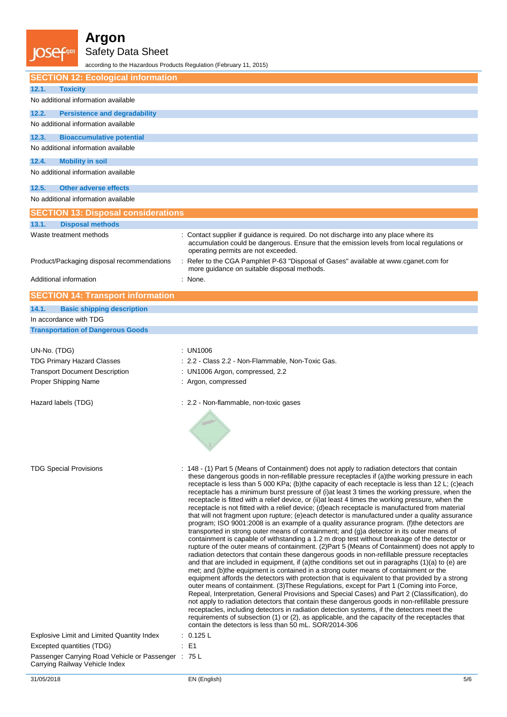Cga

I

### **Argon**

Safety Data Sheet

according to the Hazardous Products Regulation (February 11, 2015)

| <b>SECTION 12: Ecological information</b>                               |                                                                                                                                                                                                                                                                                                                                                                                                                                                                                                                                                                                                                                                                                                                                                                                                                                                                                                                                                                                                                                                                                                                                                                                                                                                                                                                                                                                                                                                                                                                                                                                                                                                                                                                                                                                                                                                                                                                                                                                                                                                                                     |
|-------------------------------------------------------------------------|-------------------------------------------------------------------------------------------------------------------------------------------------------------------------------------------------------------------------------------------------------------------------------------------------------------------------------------------------------------------------------------------------------------------------------------------------------------------------------------------------------------------------------------------------------------------------------------------------------------------------------------------------------------------------------------------------------------------------------------------------------------------------------------------------------------------------------------------------------------------------------------------------------------------------------------------------------------------------------------------------------------------------------------------------------------------------------------------------------------------------------------------------------------------------------------------------------------------------------------------------------------------------------------------------------------------------------------------------------------------------------------------------------------------------------------------------------------------------------------------------------------------------------------------------------------------------------------------------------------------------------------------------------------------------------------------------------------------------------------------------------------------------------------------------------------------------------------------------------------------------------------------------------------------------------------------------------------------------------------------------------------------------------------------------------------------------------------|
| 12.1.<br><b>Toxicity</b>                                                |                                                                                                                                                                                                                                                                                                                                                                                                                                                                                                                                                                                                                                                                                                                                                                                                                                                                                                                                                                                                                                                                                                                                                                                                                                                                                                                                                                                                                                                                                                                                                                                                                                                                                                                                                                                                                                                                                                                                                                                                                                                                                     |
| No additional information available                                     |                                                                                                                                                                                                                                                                                                                                                                                                                                                                                                                                                                                                                                                                                                                                                                                                                                                                                                                                                                                                                                                                                                                                                                                                                                                                                                                                                                                                                                                                                                                                                                                                                                                                                                                                                                                                                                                                                                                                                                                                                                                                                     |
| 12.2.<br><b>Persistence and degradability</b>                           |                                                                                                                                                                                                                                                                                                                                                                                                                                                                                                                                                                                                                                                                                                                                                                                                                                                                                                                                                                                                                                                                                                                                                                                                                                                                                                                                                                                                                                                                                                                                                                                                                                                                                                                                                                                                                                                                                                                                                                                                                                                                                     |
| No additional information available                                     |                                                                                                                                                                                                                                                                                                                                                                                                                                                                                                                                                                                                                                                                                                                                                                                                                                                                                                                                                                                                                                                                                                                                                                                                                                                                                                                                                                                                                                                                                                                                                                                                                                                                                                                                                                                                                                                                                                                                                                                                                                                                                     |
| 12.3.<br><b>Bioaccumulative potential</b>                               |                                                                                                                                                                                                                                                                                                                                                                                                                                                                                                                                                                                                                                                                                                                                                                                                                                                                                                                                                                                                                                                                                                                                                                                                                                                                                                                                                                                                                                                                                                                                                                                                                                                                                                                                                                                                                                                                                                                                                                                                                                                                                     |
| No additional information available                                     |                                                                                                                                                                                                                                                                                                                                                                                                                                                                                                                                                                                                                                                                                                                                                                                                                                                                                                                                                                                                                                                                                                                                                                                                                                                                                                                                                                                                                                                                                                                                                                                                                                                                                                                                                                                                                                                                                                                                                                                                                                                                                     |
| <b>Mobility in soil</b><br>12.4.                                        |                                                                                                                                                                                                                                                                                                                                                                                                                                                                                                                                                                                                                                                                                                                                                                                                                                                                                                                                                                                                                                                                                                                                                                                                                                                                                                                                                                                                                                                                                                                                                                                                                                                                                                                                                                                                                                                                                                                                                                                                                                                                                     |
| No additional information available                                     |                                                                                                                                                                                                                                                                                                                                                                                                                                                                                                                                                                                                                                                                                                                                                                                                                                                                                                                                                                                                                                                                                                                                                                                                                                                                                                                                                                                                                                                                                                                                                                                                                                                                                                                                                                                                                                                                                                                                                                                                                                                                                     |
| 12.5.<br><b>Other adverse effects</b>                                   |                                                                                                                                                                                                                                                                                                                                                                                                                                                                                                                                                                                                                                                                                                                                                                                                                                                                                                                                                                                                                                                                                                                                                                                                                                                                                                                                                                                                                                                                                                                                                                                                                                                                                                                                                                                                                                                                                                                                                                                                                                                                                     |
| No additional information available                                     |                                                                                                                                                                                                                                                                                                                                                                                                                                                                                                                                                                                                                                                                                                                                                                                                                                                                                                                                                                                                                                                                                                                                                                                                                                                                                                                                                                                                                                                                                                                                                                                                                                                                                                                                                                                                                                                                                                                                                                                                                                                                                     |
| <b>SECTION 13: Disposal considerations</b>                              |                                                                                                                                                                                                                                                                                                                                                                                                                                                                                                                                                                                                                                                                                                                                                                                                                                                                                                                                                                                                                                                                                                                                                                                                                                                                                                                                                                                                                                                                                                                                                                                                                                                                                                                                                                                                                                                                                                                                                                                                                                                                                     |
| 13.1.<br><b>Disposal methods</b>                                        |                                                                                                                                                                                                                                                                                                                                                                                                                                                                                                                                                                                                                                                                                                                                                                                                                                                                                                                                                                                                                                                                                                                                                                                                                                                                                                                                                                                                                                                                                                                                                                                                                                                                                                                                                                                                                                                                                                                                                                                                                                                                                     |
| Waste treatment methods                                                 | Contact supplier if guidance is required. Do not discharge into any place where its<br>accumulation could be dangerous. Ensure that the emission levels from local regulations or<br>operating permits are not exceeded.                                                                                                                                                                                                                                                                                                                                                                                                                                                                                                                                                                                                                                                                                                                                                                                                                                                                                                                                                                                                                                                                                                                                                                                                                                                                                                                                                                                                                                                                                                                                                                                                                                                                                                                                                                                                                                                            |
| Product/Packaging disposal recommendations                              | Refer to the CGA Pamphlet P-63 "Disposal of Gases" available at www.cganet.com for<br>more guidance on suitable disposal methods.                                                                                                                                                                                                                                                                                                                                                                                                                                                                                                                                                                                                                                                                                                                                                                                                                                                                                                                                                                                                                                                                                                                                                                                                                                                                                                                                                                                                                                                                                                                                                                                                                                                                                                                                                                                                                                                                                                                                                   |
| Additional information                                                  | : None.                                                                                                                                                                                                                                                                                                                                                                                                                                                                                                                                                                                                                                                                                                                                                                                                                                                                                                                                                                                                                                                                                                                                                                                                                                                                                                                                                                                                                                                                                                                                                                                                                                                                                                                                                                                                                                                                                                                                                                                                                                                                             |
| <b>SECTION 14: Transport information</b>                                |                                                                                                                                                                                                                                                                                                                                                                                                                                                                                                                                                                                                                                                                                                                                                                                                                                                                                                                                                                                                                                                                                                                                                                                                                                                                                                                                                                                                                                                                                                                                                                                                                                                                                                                                                                                                                                                                                                                                                                                                                                                                                     |
| <b>Basic shipping description</b><br>14.1.                              |                                                                                                                                                                                                                                                                                                                                                                                                                                                                                                                                                                                                                                                                                                                                                                                                                                                                                                                                                                                                                                                                                                                                                                                                                                                                                                                                                                                                                                                                                                                                                                                                                                                                                                                                                                                                                                                                                                                                                                                                                                                                                     |
| In accordance with TDG                                                  |                                                                                                                                                                                                                                                                                                                                                                                                                                                                                                                                                                                                                                                                                                                                                                                                                                                                                                                                                                                                                                                                                                                                                                                                                                                                                                                                                                                                                                                                                                                                                                                                                                                                                                                                                                                                                                                                                                                                                                                                                                                                                     |
| <b>Transportation of Dangerous Goods</b>                                |                                                                                                                                                                                                                                                                                                                                                                                                                                                                                                                                                                                                                                                                                                                                                                                                                                                                                                                                                                                                                                                                                                                                                                                                                                                                                                                                                                                                                                                                                                                                                                                                                                                                                                                                                                                                                                                                                                                                                                                                                                                                                     |
|                                                                         |                                                                                                                                                                                                                                                                                                                                                                                                                                                                                                                                                                                                                                                                                                                                                                                                                                                                                                                                                                                                                                                                                                                                                                                                                                                                                                                                                                                                                                                                                                                                                                                                                                                                                                                                                                                                                                                                                                                                                                                                                                                                                     |
| UN-No. (TDG)                                                            | : UN1006                                                                                                                                                                                                                                                                                                                                                                                                                                                                                                                                                                                                                                                                                                                                                                                                                                                                                                                                                                                                                                                                                                                                                                                                                                                                                                                                                                                                                                                                                                                                                                                                                                                                                                                                                                                                                                                                                                                                                                                                                                                                            |
| <b>TDG Primary Hazard Classes</b>                                       | : 2.2 - Class 2.2 - Non-Flammable, Non-Toxic Gas.                                                                                                                                                                                                                                                                                                                                                                                                                                                                                                                                                                                                                                                                                                                                                                                                                                                                                                                                                                                                                                                                                                                                                                                                                                                                                                                                                                                                                                                                                                                                                                                                                                                                                                                                                                                                                                                                                                                                                                                                                                   |
| <b>Transport Document Description</b>                                   | : UN1006 Argon, compressed, 2.2                                                                                                                                                                                                                                                                                                                                                                                                                                                                                                                                                                                                                                                                                                                                                                                                                                                                                                                                                                                                                                                                                                                                                                                                                                                                                                                                                                                                                                                                                                                                                                                                                                                                                                                                                                                                                                                                                                                                                                                                                                                     |
| Proper Shipping Name                                                    | : Argon, compressed                                                                                                                                                                                                                                                                                                                                                                                                                                                                                                                                                                                                                                                                                                                                                                                                                                                                                                                                                                                                                                                                                                                                                                                                                                                                                                                                                                                                                                                                                                                                                                                                                                                                                                                                                                                                                                                                                                                                                                                                                                                                 |
| Hazard labels (TDG)                                                     | : 2.2 - Non-flammable, non-toxic gases                                                                                                                                                                                                                                                                                                                                                                                                                                                                                                                                                                                                                                                                                                                                                                                                                                                                                                                                                                                                                                                                                                                                                                                                                                                                                                                                                                                                                                                                                                                                                                                                                                                                                                                                                                                                                                                                                                                                                                                                                                              |
|                                                                         |                                                                                                                                                                                                                                                                                                                                                                                                                                                                                                                                                                                                                                                                                                                                                                                                                                                                                                                                                                                                                                                                                                                                                                                                                                                                                                                                                                                                                                                                                                                                                                                                                                                                                                                                                                                                                                                                                                                                                                                                                                                                                     |
| <b>TDG Special Provisions</b>                                           | : 148 - (1) Part 5 (Means of Containment) does not apply to radiation detectors that contain<br>these dangerous goods in non-refillable pressure receptacles if (a)the working pressure in each<br>receptacle is less than 5 000 KPa; (b)the capacity of each receptacle is less than 12 L; (c)each<br>receptacle has a minimum burst pressure of (i) at least 3 times the working pressure, when the<br>receptacle is fitted with a relief device, or (ii) at least 4 times the working pressure, when the<br>receptacle is not fitted with a relief device; (d)each receptacle is manufactured from material<br>that will not fragment upon rupture; (e)each detector is manufactured under a quality assurance<br>program; ISO 9001:2008 is an example of a quality assurance program. (f)the detectors are<br>transported in strong outer means of containment; and (g)a detector in its outer means of<br>containment is capable of withstanding a 1.2 m drop test without breakage of the detector or<br>rupture of the outer means of containment. (2) Part 5 (Means of Containment) does not apply to<br>radiation detectors that contain these dangerous goods in non-refillable pressure receptacles<br>and that are included in equipment, if (a)the conditions set out in paragraphs (1)(a) to (e) are<br>met; and (b)the equipment is contained in a strong outer means of containment or the<br>equipment affords the detectors with protection that is equivalent to that provided by a strong<br>outer means of containment. (3) These Regulations, except for Part 1 (Coming into Force,<br>Repeal, Interpretation, General Provisions and Special Cases) and Part 2 (Classification), do<br>not apply to radiation detectors that contain these dangerous goods in non-refillable pressure<br>receptacles, including detectors in radiation detection systems, if the detectors meet the<br>requirements of subsection (1) or (2), as applicable, and the capacity of the receptacles that<br>contain the detectors is less than 50 mL. SOR/2014-306<br>: 0.125 L |
| Explosive Limit and Limited Quantity Index<br>Excepted quantities (TDG) | $E = 1$                                                                                                                                                                                                                                                                                                                                                                                                                                                                                                                                                                                                                                                                                                                                                                                                                                                                                                                                                                                                                                                                                                                                                                                                                                                                                                                                                                                                                                                                                                                                                                                                                                                                                                                                                                                                                                                                                                                                                                                                                                                                             |
| Passenger Carrying Road Vehicle or Passenger : 75 L                     |                                                                                                                                                                                                                                                                                                                                                                                                                                                                                                                                                                                                                                                                                                                                                                                                                                                                                                                                                                                                                                                                                                                                                                                                                                                                                                                                                                                                                                                                                                                                                                                                                                                                                                                                                                                                                                                                                                                                                                                                                                                                                     |
| Carrying Railway Vehicle Index                                          |                                                                                                                                                                                                                                                                                                                                                                                                                                                                                                                                                                                                                                                                                                                                                                                                                                                                                                                                                                                                                                                                                                                                                                                                                                                                                                                                                                                                                                                                                                                                                                                                                                                                                                                                                                                                                                                                                                                                                                                                                                                                                     |